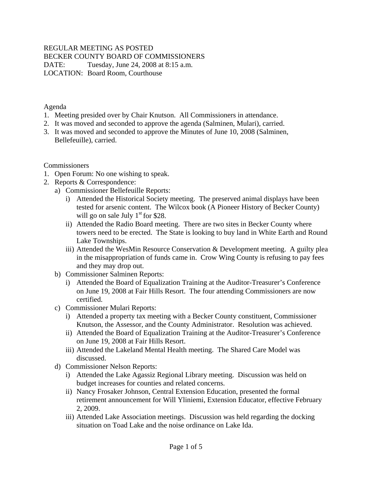#### REGULAR MEETING AS POSTED BECKER COUNTY BOARD OF COMMISSIONERS DATE: Tuesday, June 24, 2008 at 8:15 a.m. LOCATION: Board Room, Courthouse

Agenda

- 1. Meeting presided over by Chair Knutson. All Commissioners in attendance.
- 2. It was moved and seconded to approve the agenda (Salminen, Mulari), carried.
- 3. It was moved and seconded to approve the Minutes of June 10, 2008 (Salminen, Bellefeuille), carried.

Commissioners

- 1. Open Forum: No one wishing to speak.
- 2. Reports & Correspondence:
	- a) Commissioner Bellefeuille Reports:
		- i) Attended the Historical Society meeting. The preserved animal displays have been tested for arsenic content. The Wilcox book (A Pioneer History of Becker County) will go on sale July  $1<sup>st</sup>$  for \$28.
		- ii) Attended the Radio Board meeting. There are two sites in Becker County where towers need to be erected. The State is looking to buy land in White Earth and Round Lake Townships.
		- iii) Attended the WesMin Resource Conservation & Development meeting. A guilty plea in the misappropriation of funds came in. Crow Wing County is refusing to pay fees and they may drop out.
	- b) Commissioner Salminen Reports:
		- i) Attended the Board of Equalization Training at the Auditor-Treasurer's Conference on June 19, 2008 at Fair Hills Resort. The four attending Commissioners are now certified.
	- c) Commissioner Mulari Reports:
		- i) Attended a property tax meeting with a Becker County constituent, Commissioner Knutson, the Assessor, and the County Administrator. Resolution was achieved.
		- ii) Attended the Board of Equalization Training at the Auditor-Treasurer's Conference on June 19, 2008 at Fair Hills Resort.
		- iii) Attended the Lakeland Mental Health meeting. The Shared Care Model was discussed.
	- d) Commissioner Nelson Reports:
		- i) Attended the Lake Agassiz Regional Library meeting. Discussion was held on budget increases for counties and related concerns.
		- ii) Nancy Frosaker Johnson, Central Extension Education, presented the formal retirement announcement for Will Yliniemi, Extension Educator, effective February 2, 2009.
		- iii) Attended Lake Association meetings. Discussion was held regarding the docking situation on Toad Lake and the noise ordinance on Lake Ida.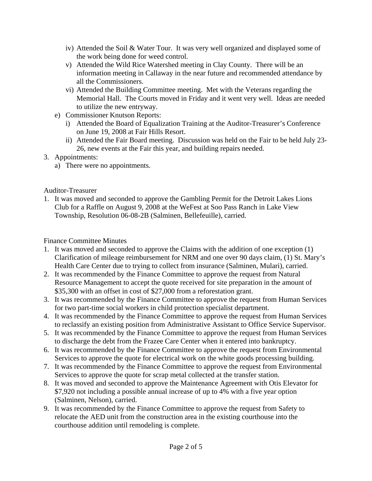- iv) Attended the Soil & Water Tour. It was very well organized and displayed some of the work being done for weed control.
- v) Attended the Wild Rice Watershed meeting in Clay County. There will be an information meeting in Callaway in the near future and recommended attendance by all the Commissioners.
- vi) Attended the Building Committee meeting. Met with the Veterans regarding the Memorial Hall. The Courts moved in Friday and it went very well. Ideas are needed to utilize the new entryway.
- e) Commissioner Knutson Reports:
	- i) Attended the Board of Equalization Training at the Auditor-Treasurer's Conference on June 19, 2008 at Fair Hills Resort.
	- ii) Attended the Fair Board meeting. Discussion was held on the Fair to be held July 23- 26, new events at the Fair this year, and building repairs needed.
- 3. Appointments:
	- a) There were no appointments.

Auditor-Treasurer

1. It was moved and seconded to approve the Gambling Permit for the Detroit Lakes Lions Club for a Raffle on August 9, 2008 at the WeFest at Soo Pass Ranch in Lake View Township, Resolution 06-08-2B (Salminen, Bellefeuille), carried.

Finance Committee Minutes

- 1. It was moved and seconded to approve the Claims with the addition of one exception (1) Clarification of mileage reimbursement for NRM and one over 90 days claim, (1) St. Mary's Health Care Center due to trying to collect from insurance (Salminen, Mulari), carried.
- 2. It was recommended by the Finance Committee to approve the request from Natural Resource Management to accept the quote received for site preparation in the amount of \$35,300 with an offset in cost of \$27,000 from a reforestation grant.
- 3. It was recommended by the Finance Committee to approve the request from Human Services for two part-time social workers in child protection specialist department.
- 4. It was recommended by the Finance Committee to approve the request from Human Services to reclassify an existing position from Administrative Assistant to Office Service Supervisor.
- 5. It was recommended by the Finance Committee to approve the request from Human Services to discharge the debt from the Frazee Care Center when it entered into bankruptcy.
- 6. It was recommended by the Finance Committee to approve the request from Environmental Services to approve the quote for electrical work on the white goods processing building.
- 7. It was recommended by the Finance Committee to approve the request from Environmental Services to approve the quote for scrap metal collected at the transfer station.
- 8. It was moved and seconded to approve the Maintenance Agreement with Otis Elevator for \$7,920 not including a possible annual increase of up to 4% with a five year option (Salminen, Nelson), carried.
- 9. It was recommended by the Finance Committee to approve the request from Safety to relocate the AED unit from the construction area in the existing courthouse into the courthouse addition until remodeling is complete.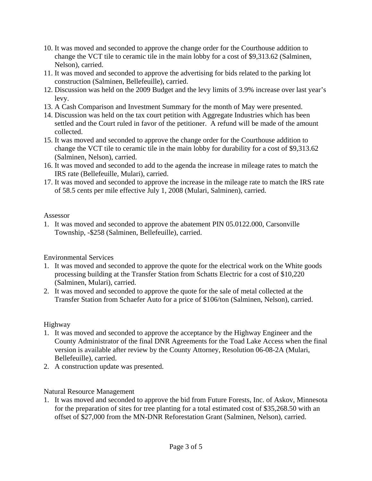- 10. It was moved and seconded to approve the change order for the Courthouse addition to change the VCT tile to ceramic tile in the main lobby for a cost of \$9,313.62 (Salminen, Nelson), carried.
- 11. It was moved and seconded to approve the advertising for bids related to the parking lot construction (Salminen, Bellefeuille), carried.
- 12. Discussion was held on the 2009 Budget and the levy limits of 3.9% increase over last year's levy.
- 13. A Cash Comparison and Investment Summary for the month of May were presented.
- 14. Discussion was held on the tax court petition with Aggregate Industries which has been settled and the Court ruled in favor of the petitioner. A refund will be made of the amount collected.
- 15. It was moved and seconded to approve the change order for the Courthouse addition to change the VCT tile to ceramic tile in the main lobby for durability for a cost of \$9,313.62 (Salminen, Nelson), carried.
- 16. It was moved and seconded to add to the agenda the increase in mileage rates to match the IRS rate (Bellefeuille, Mulari), carried.
- 17. It was moved and seconded to approve the increase in the mileage rate to match the IRS rate of 58.5 cents per mile effective July 1, 2008 (Mulari, Salminen), carried.

#### Assessor

1. It was moved and seconded to approve the abatement PIN 05.0122.000, Carsonville Township, -\$258 (Salminen, Bellefeuille), carried.

## Environmental Services

- 1. It was moved and seconded to approve the quote for the electrical work on the White goods processing building at the Transfer Station from Schatts Electric for a cost of \$10,220 (Salminen, Mulari), carried.
- 2. It was moved and seconded to approve the quote for the sale of metal collected at the Transfer Station from Schaefer Auto for a price of \$106/ton (Salminen, Nelson), carried.

## Highway

- 1. It was moved and seconded to approve the acceptance by the Highway Engineer and the County Administrator of the final DNR Agreements for the Toad Lake Access when the final version is available after review by the County Attorney, Resolution 06-08-2A (Mulari, Bellefeuille), carried.
- 2. A construction update was presented.

# Natural Resource Management

1. It was moved and seconded to approve the bid from Future Forests, Inc. of Askov, Minnesota for the preparation of sites for tree planting for a total estimated cost of \$35,268.50 with an offset of \$27,000 from the MN-DNR Reforestation Grant (Salminen, Nelson), carried.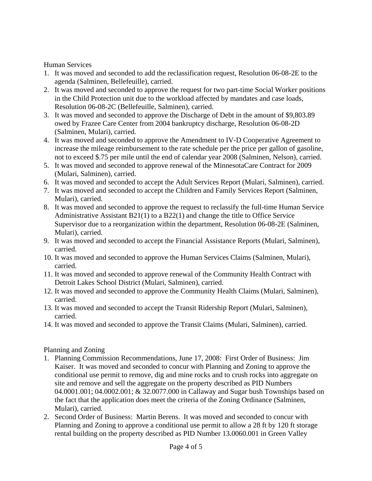Human Services

- 1. It was moved and seconded to add the reclassification request, Resolution 06-08-2E to the agenda (Salminen, Bellefeuille), carried.
- 2. It was moved and seconded to approve the request for two part-time Social Worker positions in the Child Protection unit due to the workload affected by mandates and case loads, Resolution 06-08-2C (Bellefeuille, Salminen), carried.
- 3. It was moved and seconded to approve the Discharge of Debt in the amount of \$9,803.89 owed by Frazee Care Center from 2004 bankruptcy discharge, Resolution 06-08-2D (Salminen, Mulari), carried.
- 4. It was moved and seconded to approve the Amendment to IV-D Cooperative Agreement to increase the mileage reimbursement to the rate schedule per the price per gallon of gasoline, not to exceed \$.75 per mile until the end of calendar year 2008 (Salminen, Nelson), carried.
- 5. It was moved and seconded to approve renewal of the MinnesotaCare Contract for 2009 (Mulari, Salminen), carried.
- 6. It was moved and seconded to accept the Adult Services Report (Mulari, Salminen), carried.
- 7. It was moved and seconded to accept the Children and Family Services Report (Salminen, Mulari), carried.
- 8. It was moved and seconded to approve the request to reclassify the full-time Human Service Administrative Assistant B21(1) to a B22(1) and change the title to Office Service Supervisor due to a reorganization within the department, Resolution 06-08-2E (Salminen, Mulari), carried.
- 9. It was moved and seconded to accept the Financial Assistance Reports (Mulari, Salminen), carried.
- 10. It was moved and seconded to approve the Human Services Claims (Salminen, Mulari), carried.
- 11. It was moved and seconded to approve renewal of the Community Health Contract with Detroit Lakes School District (Mulari, Salminen), carried.
- 12. It was moved and seconded to approve the Community Health Claims (Mulari, Salminen), carried.
- 13. It was moved and seconded to accept the Transit Ridership Report (Mulari, Salminen), carried.
- 14. It was moved and seconded to approve the Transit Claims (Mulari, Salminen), carried.

# Planning and Zoning

- 1. Planning Commission Recommendations, June 17, 2008: First Order of Business: Jim Kaiser. It was moved and seconded to concur with Planning and Zoning to approve the conditional use permit to remove, dig and mine rocks and to crush rocks into aggregate on site and remove and sell the aggregate on the property described as PID Numbers 04.0001.001; 04.0002.001; & 32.0077.000 in Callaway and Sugar bush Townships based on the fact that the application does meet the criteria of the Zoning Ordinance (Salminen, Mulari), carried.
- 2. Second Order of Business: Martin Berens. It was moved and seconded to concur with Planning and Zoning to approve a conditional use permit to allow a 28 ft by 120 ft storage rental building on the property described as PID Number 13.0060.001 in Green Valley